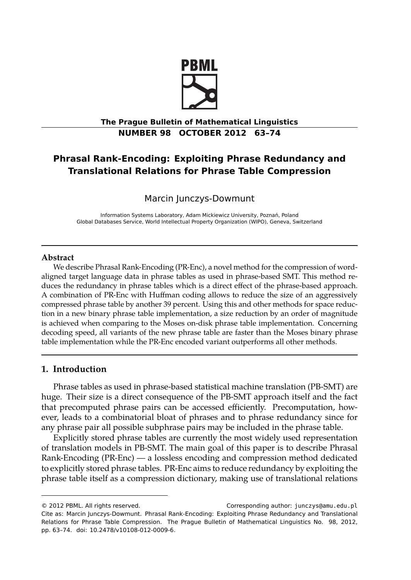

# **The Prague Bulletin of Mathematical Linguistics NUMBER 98 OCTOBER 2012 63–74**

# **Phrasal Rank-Encoding: Exploiting Phrase Redundancy and Translational Relations for Phrase Table Compression**

Marcin Junczys-Dowmunt

Information Systems Laboratory, Adam Mickiewicz University, Poznań, Poland Global Databases Service, World Intellectual Property Organization (WIPO), Geneva, Switzerland

#### **Abstract**

We describe Phrasal Rank-Encoding (PR-Enc), a novel method for the compression of wordaligned target language data in phrase tables as used in phrase-based SMT. This method reduces the redundancy in phrase tables which is a direct effect of the phrase-based approach. A combination of PR-Enc with Huffman coding allows to reduce the size of an aggressively compressed phrase table by another 39 percent. Using this and other methods for space reduction in a new binary phrase table implementation, a size reduction by an order of magnitude is achieved when comparing to the Moses on-disk phrase table implementation. Concerning decoding speed, all variants of the new phrase table are faster than the Moses binary phrase table implementation while the PR-Enc encoded variant outperforms all other methods.

#### **1. Introduction**

Phrase tables as used in phrase-based statistical machine translation (PB-SMT) are huge. Their size is a direct consequence of the PB-SMT approach itself and the fact that precomputed phrase pairs can be accessed efficiently. Precomputation, however, leads to a combinatorial bloat of phrases and to phrase redundancy since for any phrase pair all possible subphrase pairs may be included in the phrase table.

Explicitly stored phrase tables are currently the most widely used representation of translation models in PB-SMT. The main goal of this paper is to describe Phrasal Rank-Encoding (PR-Enc) — a lossless encoding and compression method dedicated to explicitly stored phrase tables. PR-Enc aims to reduce redundancy by exploiting the phrase table itself as a compression dictionary, making use of translational relations

<sup>© 2012</sup> PBML. All rights reserved. Corresponding author: junczys@amu.edu.pl Cite as: Marcin Junczys-Dowmunt. Phrasal Rank-Encoding: Exploiting Phrase Redundancy and Translational Relations for Phrase Table Compression. The Prague Bulletin of Mathematical Linguistics No. 98, 2012, pp. 63–74. doi: 10.2478/v10108-012-0009-6.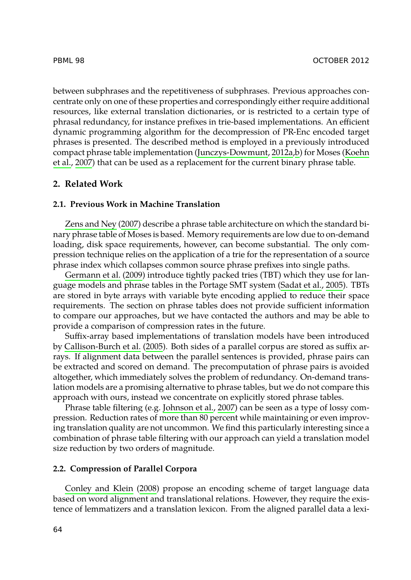#### [PBML 98](#page-10-0) OCTOBE[R 2012](#page-10-0)

between subphrases and the repetitiveness of subphrases. Previous approaches concentrate only on one of these properties and correspondingly either require additional resources, like external translation dictionaries, or is restricted to a certain type of phrasal redundancy, for instance prefixes in trie-based implementations. An efficient dy[namic programming](#page-11-0) algorithm for the decompression of PR-Enc encoded target phrases is presented. The described method is employed in a previously introduced compact phrase table implementation (Junczys-Dowmunt, 2012a,b) for Moses (Koehn et al., 2007) that can be used as a replacement for the current binary phrase table.

#### **2. [Related Work](#page-10-1)**

#### **2.1. Previous Work in Machine Translation**

Zens and Ney (2007) describe a phrase table architecture on which the standard binary phrase table of Moses is based. Memory requirements are low due to on-demand loading, disk space requirements, however, can become substantial. The only compr[ession technique relie](#page-10-2)s [on th](#page-10-2)e application of a trie for the representation of a source phrase index which collapses common source phrase prefixes into single paths.

Germann et al. (2009) introduce tightly packed tries (TBT) which they use for language models and phrase tables in the Portage SMT system (Sadat et al., 2005). TBTs are stored in byte arrays with variable byte encoding applied to reduce their space requirements. The section on phrase tables does not provide sufficient information to compare our approaches, [but we have contac](#page-10-3)ted the authors and may be able to provide a comparison of compression rates in the future.

Suffix-array based implementations of translation models have been introduced by Callison-Burch et al. (2005). Both sides of a parallel corpus are stored as suffix arrays. If alignment data between the parallel sentences is provided, phrase pairs can be extracted and scored on demand. The precomputation of phrase pairs is avoided altogether, which immediately solves the problem of redundancy. On-demand translation models are a promising alternative to phrase tables, but we do not compare this ap[proach with ours, i](#page-10-4)n[stead](#page-10-4) we concentrate on explicitly stored phrase tables.

Phrase table filtering (e.g. Johnson et al., 2007) can be seen as a type of lossy compression. Reduction rates of more than 80 percent while maintaining or even improving translation quality are not uncommon. We find this particularly interesting since a combination of phrase table filtering with our approach can yield a translation model size reduction by two orders of magnitude.

#### **2.2. Compression of Parallel Corpora**

Conley and Klein (2008) propose an encoding scheme of target language data based on word alignment and translational relations. However, they require the existence of lemmatizers and a translation lexicon. From the aligned parallel data a lexi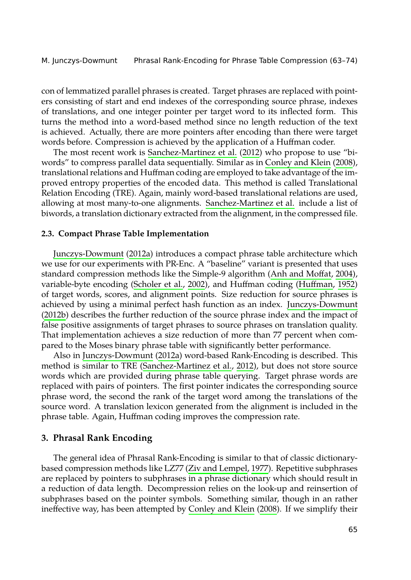M. Junczys-Dowmunt Phr[asal Rank-Encoding for Phrase T](#page-10-5)[able Compression \(63–74](#page-10-4))

con of lemmatized parallel phrases is created. Target phrases are replaced with pointers consisting of start and end indexes of the corresponding source phrase, indexes of translations, and one integer pointer pe[r target word to its infle](#page-10-5)cted form. This turns the method into a word-based method since no length reduction of the text is achieved. Actually, there are more pointers after encoding than there were target words before. Compression is achieved by the application of a Huffman coder.

[The most recent w](#page-10-6)ork is Sanchez-Martinez et al. (2012) who propose to use "biwords" to compress pa[rallel d](#page-10-6)ata sequentially. Similar as in Conley and Klein (2008), translational relations and Huffman coding are employed to t[ake advantage of](#page-10-7) t[he im](#page-10-7)proved entropy properti[es of the encoded d](#page-11-1)ata. This method is call[ed Translationa](#page-10-8)l Relation Encoding (TRE). Again, mainly word-based translational relations are used, allowing at most many-to-one alignments. Sanchez-Martinez et al. include a list of [biword](#page-10-9)s, a translation dictionary extracted from the alignment, in t[he compressed file.](#page-10-9)

#### **2.3. Compact Phrase Table Implementation**

Junczys-Dowmunt (2012a) introduces a compact phrase table architecture which we use for [our experiments wi](#page-10-6)t[h PR-E](#page-10-6)nc. A "baseline" variant is presented that uses standard compression met[hods like the Simple-9 a](#page-10-5)l[gorith](#page-10-5)m (Anh and Moffat, 2004), variable-byte encoding (Scholer et al., 2002), and Huffman coding (Huffman, 1952) of target words, scores, and alignment points. Size reduction for source phrases is achieved by using a minimal perfect hash function as an index. Junczys-Dowmunt (2012b) describes the further reduction of the source phrase index and the impact of false positive assignments of target phrases to source phrases on translation quality. That implementation achieves a size reduction of more than 77 percent when compared to the Moses binary phrase table with significantly better performance.

Also in Junczys-Dowmunt (2012a) word-based Rank-Encoding is described. This method is similar to TRE (Sanchez-Martinez et al., 2012), but does not store source words which are provided during phr[ase table querying. T](#page-11-2)arget phrase words are replaced with pairs of pointers. The first pointer indicates the corresponding source phrase word, the second the rank of the target word among the translations of the source word. A translation lexicon generated from the alignment is included in the phrase table. Again, Huffman coding i[mproves the compression](#page-10-4) rate.

## **3. Phrasal Rank Encoding**

The general idea of Phrasal Rank-Encoding is similar to that of classic dictionarybased compression methods like LZ77 (Ziv and Lempel, 1977). Repetitive subphrases are replaced by pointers to subphrases in a phrase dictionary which should result in a reduction of data length. Decompression relies on the look-up and reinsertion of subphrases based on the pointer symbols. Something similar, though in an rather ineffective way, has been attempted by Conley and Klein (2008). If we simplify their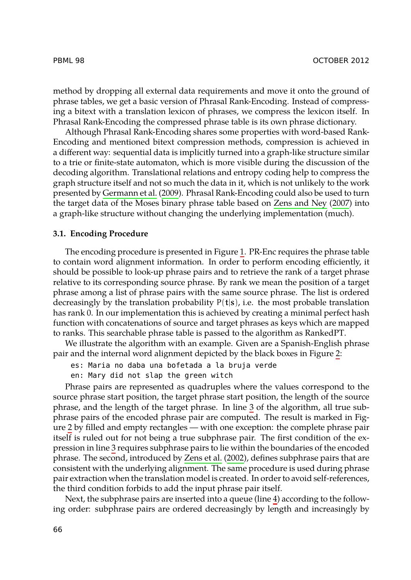method by dropping all external data requirements and move it onto the ground of phrase tables[, we get a basic versio](#page-10-1)n of Phrasal Rank-Encoding. Instead of compressing a bitext with a translation lexicon of phrases, we com[press the lexicon itse](#page-11-0)lf. In Phrasal Rank-Encoding the compressed phrase table is its own phrase dictionary.

Although Phrasal Rank-Encoding shares some properties with word-based Rank-Encoding and mentioned bitext compression methods, compression is achieved in a different way: sequential data is implicitly turne[d i](#page-4-0)nto a graph-like structure similar to a trie or finite-state automaton, which is more visible during the discussion of the decoding algorithm. Translational relations and entropy coding help to compress the graph structure itself and not so much the data in it, which is not unlikely to the work presented by Germann et al. (2009). Phrasal Rank-Encoding could also be used to turn the target data of the Moses binary phrase table based on Zens and Ney (2007) into a graph-like structure without changing the underlying implementation (much).

#### **3.1. Encoding Procedure**

The encoding procedure is presented in Figure 1. PR-Enc requires the phrase table to contain word alignment information. In order to perform encoding effi[ci](#page-5-0)ently, it should be possible to look-up phrase pairs and to retrieve the rank of a target phrase relative to its corresponding source phrase. By rank we mean the position of a target phrase among a list of phrase pairs with the same source phrase. The list is ordered decreasingly by the translation probability  $P(t|s)$ , i.e. the most probable translation has rank 0. In our implementation this is achieved b[y c](#page-4-1)reating a minimal perfect hash function with concatenations of source and target phrases as keys which are mapped to r[an](#page-5-0)ks. This searchable phrase table is passed to the algorithm as RankedPT.

We illustrate the algorithm with an example. Given are a Spanish-English phrase pair and the int[er](#page-4-1)nal word alignment depicted by the black boxes in Figure 2:

- es: Maria no daba una bof[etada a la bruj](#page-11-3)a verde
- en: Mary did not slap the green witch

Phrase pairs are represented as quadruples where the values correspond to the source phrase start position, the target phrase start position, the length of the source phrase, and the length of the target phrase. In line 3 of t[he](#page-4-2) algorithm, all true subphrase pairs of the encoded phrase pair are computed. The result is marked in Figure 2 by filled and empty rectangles — with one exception: the complete phrase pair itself is ruled out for not being a true subphrase pair. The first condition of the expression in line 3 requires subphrase pairs to lie within the boundaries of the encoded phrase. The second, introduced by Zens et al. (2002), defines subphrase pairs that are consistent with the underlying alignment. The same procedure is used during phrase pair extraction when the translation model is created. In order to avoid self-references, the third condition forbids to add the input phrase pair itself.

Next, the subphrase pairs are inserted into a queue (line 4) according to the following order: subphrase pairs are ordered decreasingly by length and increasingly by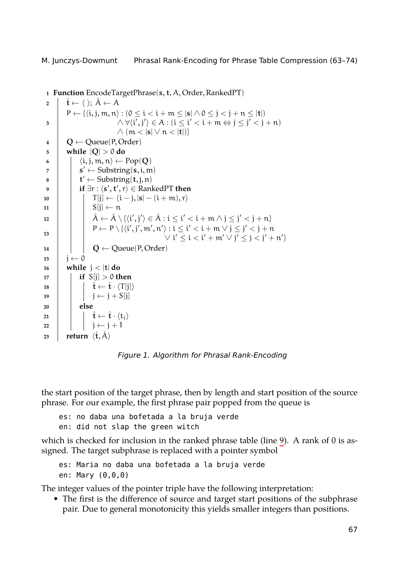<span id="page-4-2"></span><span id="page-4-1"></span>M. Junczys-Dowmunt Phrasal Rank-Encoding for Phrase Table Compression (63–74)

```
1 Function EncodeTargetPhrase(s, t, A, Order, RankedPT)
 \hat{\mathbf{t}} \leftarrow \langle \ \rangle; \ \hat{\mathbf{A}} \leftarrow \mathbf{A}3
                P ← {⟨i, j, m, n⟩ : (0 ≤ i < i + m ≤ |s| ∧ 0 ≤ j < j + n ≤ |t|)
                                                    ∧ ∀⟨i
′
, j′
⟩ ∈ A : (i ≤ i
′ < i + m ⇔ j ≤ j
′ < j + n)
                                                   \wedge (m < |s| ∨ n < |t|)}
 4 Q \leftarrow \text{Queue}(P, \text{Order})<br>
5 while |O| > 0 do
                5 while |Q| > 0 do
 6 \begin{bmatrix} \langle i, j, m, n \rangle \leftarrow Pop(Q) \\ s' \leftarrow Substring(s, i, m) \end{bmatrix}\mathbf{z}^{\prime} \leftarrow \text{Substring}(\mathbf{s}, \mathbf{i}, \mathbf{m})\mathbf{B} \parallel \mathbf{t}' \leftarrow \text{Substring}(\mathbf{t}, \mathbf{j}, \mathbf{n})9 if ∃r : ⟨s
′
, t
′
, r⟩ ∈ RankedPT then
10 T[j] ← ⟨i − j, |s| − (i + m), r⟩
11 S[j] \leftarrow n<br>
12 \hat{A} \leftarrow \hat{A} \setminus \hat{A}\begin{array}{|c|c|c|c|}\n\hline\n12 & \hat{A} & \hat{A} \setminus \{ \langle i',j' \rangle \in \hat{A}: i \leq i' < i+m \land j \leq j' < j+n \}\n\hline\n\end{array}13
                                   P \leftarrow P \setminus \{ \langle i', j', m', n' \rangle : i \leq i' < i + m \lor j \leq j' < j + n\lor i' ≤ i < i' + m' \lor j' ≤ j < j' + n'}
14 Q \leftarrow Queue(P, Order)<br>15 i \leftarrow 0
15 \vert j ← 0<br>16 while
                16 while j < |t| do
17 if S[j] > 0 then
\hat{\mathbf{t}} \leftarrow \hat{\mathbf{t}} \cdot \langle \mathsf{T}[j] \rangle<br>
19 \begin{bmatrix} \hat{\mathbf{t}} \leftarrow \hat{\mathbf{t}} \cdot \langle \mathsf{T}[j] \rangle \\ \mathbf{j} \leftarrow \mathbf{j} + \mathbf{S}[j] \end{bmatrix}19 \begin{bmatrix} 19 \\ 20 \end{bmatrix} \begin{bmatrix} j \leftarrow j + S[j] \\ \textbf{else} \end{bmatrix}20 else
\begin{array}{|c|c|c|c|}\n\hline\n\text{22} & 1 & \hat{\mathbf{t}} \leftarrow \hat{\mathbf{t}} \cdot \langle \mathbf{t}_j \rangle \\
\hline\n\text{22} & \hat{\mathbf{t}} \leftarrow \hat{\mathbf{t}} + 1\n\end{array}\begin{array}{|c|c|c|}\n\hline\n22 & & \mbox{leturn} & \hat{t}, \hat{A}\n\end{array}return \langle \hat{\mathbf{t}}, \hat{A} \rangle
```
<span id="page-4-0"></span>*Figure 1. Algorithm for Phrasal Rank-Encoding*

the start position of the target phrase, then by length and start position of the source phrase. For our example, the first phrase pair popped from the queue is

es: no daba una bofetada a la bruja verde

en: did not slap the green witch

which is checked for inclusion in the ranked phrase table (line 9). A rank of 0 is assigned. The target subphrase is replaced with a pointer symbol

es: Maria no daba una bofetada a la bruja verde en: Mary (0,0,0)

The integer values of the pointer triple have the following interpretation:

• The first is the difference of source and target start positions of the subphrase pair. Due to general monotonicity this yields smaller integers than positions.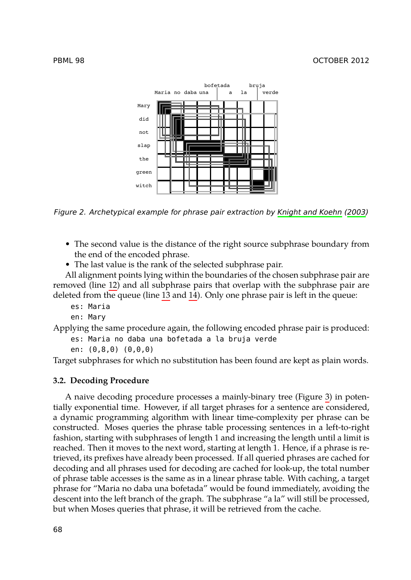<span id="page-5-0"></span>

*Figure 2. Archetypical example for phrase pair extraction by Knight and Koehn (2003)*

- The second value is the distance of the right source subphrase boundary from the end of the encoded phrase.
- The last value is the rank of the selected subphrase pair.

All alignment points lying within the boundaries of the chosen subphrase pair are removed (line 12) and all subphrase pairs that overlap with the subphrase pair are deleted from the queue (line 13 and 14). Only one phrase pair is left in t[he](#page-6-0) queue:

- es: Maria
- en: Mary

Applying the same procedure again, the following encoded phrase pair is produced: es: Maria no daba una bofetada a la bruja verde

- 
- en: (0,8,0) (0,0,0)

Target subphrases for which no substitution has been found are kept as plain words.

#### **3.2. Decoding Procedure**

A naive decoding procedure processes a mainly-binary tree (Figure 3) in potentially exponential time. However, if all target phrases for a sentence are considered, a dynamic programming algorithm with linear time-complexity per phrase can be constructed. Moses queries the phrase table processing sentences in a left-to-right fashion, starting with subphrases of length 1 and increasing the length until a limit is reached. Then it moves to the next word, starting at length 1. Hence, if a phrase is retrieved, its prefixes have already been processed. If all queried phrases are cached for decoding and all phrases used for decoding are cached for look-up, the total number of phrase table accesses is the same as in a linear phrase table. With caching, a target phrase for "Maria no daba una bofetada" would be found immediately, avoiding the descent into the left branch of the graph. The subphrase "a la" will still be processed, but when Moses queries that phrase, it will be retrieved from the cache.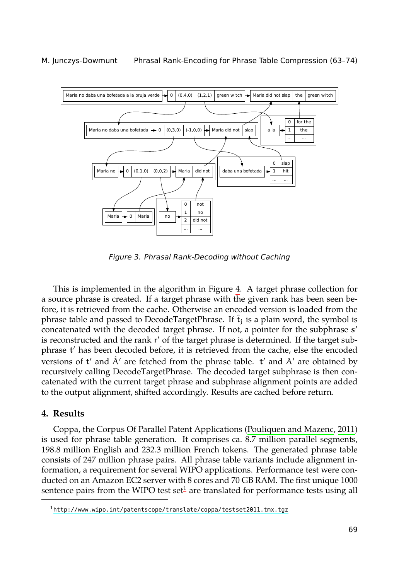



<span id="page-6-0"></span>*Figure 3. Phrasal Rank-Decoding without Caching*

This is implemented in the algorithm in Figure 4. A target phrase collection for a source phrase is created. If a target phrase with the given rank has been seen before, it is retrieved from the cache. Otherwise an encoded version is loaded from the phrase table and passed to DecodeTargetPhrase. If  $t_i$  is a plain word, the symbol is concatenated with the decoded target phrase. If not, [a pointer for the subphrase](#page-10-10) **s** *′* is reconstructed and the rank r *′* of the target phrase is determined. If the target subphrase **t** *′* has been decoded before, it is retrieved from the cache, else the encoded versions of **t** *′* and Aˆ *′* are fetched from the phrase table. **t** *′* and A*′* are obtained by recursively calling DecodeTargetPhrase. The decoded target subphrase is then concatenated with the current target phrase and subphrase alignment points are added to the output alignment, shifted accor[d](#page-6-1)ingly. Results are cached before return.

### <span id="page-6-1"></span>**4. [Results](http://www.wipo.int/patentscope/translate/coppa/testset2011.tmx.tgz)**

Coppa, the Corpus Of Parallel Patent Applications (Pouliquen and Mazenc, 2011) is used for phrase table generation. It comprises ca. 8.7 million parallel segments, 198.8 million English and 232.3 million French tokens. The generated phrase table consists of 247 million phrase pairs. All phrase table variants include alignment information, a requirement for several WIPO applications. Performance test were conducted on an Amazon EC2 server with 8 cores and 70 GB RAM. The first unique 1000 sentence pairs from the WIPO test set<sup>1</sup> are translated for performance tests using all

 $1$ http://www.wipo.int/patentscope/translate/coppa/testset2011.tmx.tgz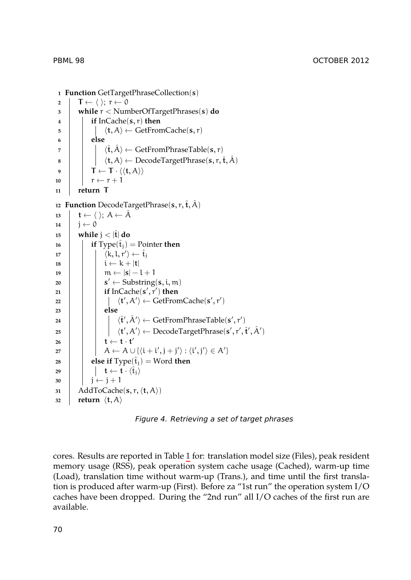**<sup>1</sup> Function** GetTargetPhraseCollection(**s**)  $\begin{array}{c} \mathbf{2} \\ \mathbf{3} \end{array}$  **T** ←  $\langle$   $\rangle$ ; r ← 0<br>**while** r < Num **<sup>3</sup> while** r < NumberOfTargetPhrases(**s**) **do <sup>4</sup> if** InCache(**s**, r) **then** 5  $\vert \vert \vert \langle t, A \rangle \leftarrow \text{GetFromCache}(s, r)$ <br>6 **clse <sup>6</sup> else** 7  $\langle \mathbf{\hat{t}}, \mathbf{\hat{A}} \rangle \leftarrow \text{GetFromPhraseTable}(\mathbf{s}, \mathbf{r})$ <br>8  $\langle \mathbf{t}, \mathbf{A} \rangle \leftarrow \text{DecodeTargetPhrase}(\mathbf{s}, \mathbf{r}, \mathbf{\hat{i}})$ **8**  $\uparrow$   $\downarrow$   $\langle$ **t**,  $\mathcal{A} \rangle$  ← DecodeTargetPhrase(s, r,  $\hat{\mathbf{t}}, \hat{\mathcal{A}}$ )  $\begin{array}{|c|c|c|}\n\hline\n9 & T \leftarrow T \cdot \langle \langle t, A \rangle \rangle \\
\hline\n10 & T \leftarrow r + 1\n\end{array}$ 10  $\begin{array}{|c|c|c|c|}\n\hline\n111 & \text{return } \mathsf{T}\n\end{array}$ **<sup>11</sup> return T** 12 **Function** DecodeTargetPhrase( $\mathbf{s}, \mathbf{r}, \hat{\mathbf{t}}, \hat{A}$ )  $\begin{array}{c|c}\n\mathbf{13} & \mathbf{t} \leftarrow \langle \ \rangle; \ \mathbf{A} \leftarrow \mathbf{A} \\
\mathbf{14} & \mathbf{i} \leftarrow \mathbf{0}\n\end{array}$ **14**  $j \leftarrow 0$ <br>**15** while *while*  $j < |t|$  do 16 **if**  $Type(\hat{\mathbf{t}}_i) = Pointer$  **then** 17 **a**  $\langle k, l, r' \rangle \leftarrow \hat{t}_j$ 18  $\vert$  i ← k + |**t**|<br>
19  $\vert$  i ← |**s**|-19  $\parallel \parallel m \leftarrow |s|-l+1$ <br>20  $\parallel s' \leftarrow$  Substring **<sup>20</sup> s**  $s' \leftarrow$  Substring( $s, i, m$ ) **<sup>21</sup> if** InCache(**s** *′* , r*′* ) **then <sup>22</sup>** *⟨***t**  $\langle \mathcal{A} \rangle \leftarrow$  GetFromCache( $\mathbf{s}', \mathbf{r}'$ ) **<sup>23</sup> else <sup>24</sup>** *⟨*ˆ**<sup>t</sup>**  $\langle \hat{A}' \rangle \leftarrow \text{GetFromPhraseTable}(\mathbf{s}', \mathbf{r}')$  $\langle \mathbf{t}', \mathsf{A}' \rangle \leftarrow \text{DecodeTargetPhase}(\mathbf{s}', \mathbf{r}', \hat{\mathbf{t}}', \hat{\mathsf{A}}')$  $\mathbf{t} \leftarrow \mathbf{t} \cdot \mathbf{t}'$  $27 \left| \begin{array}{c} \end{array} \right| \left| \begin{array}{c} A \leftarrow A \cup \{ \langle i + i', j + j' \rangle : \langle i', j' \rangle \in A' \} \end{array} \right|$ **28 else** if  $Type(\hat{t}_j) = Word$  **th[en](#page-8-0)**  $\begin{array}{|c|c|c|c|}\n\hline\n\text{29} & \text{if } t \leftarrow \mathbf{t} \cdot \langle \hat{\mathbf{t}}_j \rangle \\
\hline\n\text{30} & \text{i } \leftarrow \text{i} + 1\n\end{array}$  $\begin{array}{|c|c|c|}\n\hline\n31 & \text{AddToCache}\n\end{array}$ **<sup>31</sup>** AddToCache(**s**, r,*⟨***t**, A*⟩*) *x* **<b>return**  $\langle$ **t**, A $\rangle$ 

*Figure 4. Retrieving a set of target phrases*

cores. Results are reported in Table 1 for: translation model size (Files), peak resident memory usage (RSS), peak operation system cache usage (Cached), warm-up time (Load), translation time without warm-up (Trans.), and time until the first translation is produced after warm-up (First). Before za "1st run" the operation system I/O caches have been dropped. During the "2nd run" all I/O caches of the first run are available.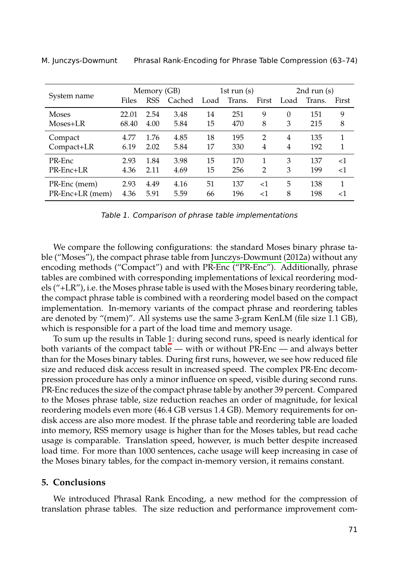<span id="page-8-0"></span>

| System name               | Memory (GB) |            |        | 1st run $(s)$ |        |                | 2nd run $(s)$ |        |        |
|---------------------------|-------------|------------|--------|---------------|--------|----------------|---------------|--------|--------|
|                           | Files       | <b>RSS</b> | Cached | Load          | Trans. | First          | Load          | Trans. | First  |
| <b>Moses</b>              | 22.01       | 2.54       | 3.48   | 14            | 251    | 9              | $\theta$      | 151    | 9      |
| Moses+LR                  | 68.40       | 4.00       | 5.84   | 15            | 470    | 8              | 3             | 215    | 8      |
| Compact                   | 4.77        | 1.76       | 4.85   | 18            | 195    | $\overline{2}$ | 4             | 135    | 1      |
| Compact+LR                | 6.19        | 2.02       | 5.84   | 17            | 330    | 4              | 4             | 192    | 1      |
| PR-Enc                    | 2.93        | 1.84       | 3.98   | 15            | 170    | 1              | 3             | 137    | ${<}1$ |
| $PR\text{-}Enc\text{+}LR$ | 4.36        | 2.11       | 4.69   | 15            | 256    | $\mathfrak{D}$ | 3             | 199    | $<$ 1  |
| PR-Enc (mem)              | 2.93        | 4.49       | 4.16   | 51            | 137    | ${<}1$         | 5             | 138    | 1      |
| PR-Enc+LR (mem)           | 4.36        | 5.91       | 5.59   | 66            | 196    | ${<}1$         | 8             | 198    | ${<}1$ |

M. Junczys-Dowmunt Phrasal Rank-Encoding for Phrase Table Compression (63–74)

*Table 1. Comparison of phrase table implementations*

We compare the following co[nfi](#page-8-0)gurations: the standard Moses binary phrase table ("Moses"), the compact phrase table from Junczys-Dowmunt (2012a) without any encoding methods ("Compact") and with PR-Enc ("PR-Enc"). Additionally, phrase tables are combined with corresponding implementations of lexical reordering models ("+LR"), i.e. the Moses phrase table is used with the Moses binary reordering table, the compact phrase table is combined with a reordering model based on the compact implementation. In-memory variants of the compact phrase and reordering tables are denoted by "(mem)". All systems use the same 3-gram KenLM (file size 1.1 GB), which is responsible for a part of the load time and memory usage.

To sum up the results in Table 1: during second runs, speed is nearly identical for both variants of the compact table — with or without PR-Enc — and always better than for the Moses binary tables. During first runs, however, we see how reduced file size and reduced disk access result in increased speed. The complex PR-Enc decompression procedure has only a minor influence on speed, visible during second runs. PR-Enc reduces the size of the compact phrase table by another 39 percent. Compared to the Moses phrase table, size reduction reaches an order of magnitude, for lexical reordering models even more (46.4 GB versus 1.4 GB). Memory requirements for ondisk access are also more modest. If the phrase table and reordering table are loaded into memory, RSS memory usage is higher than for the Moses tables, but read cache usage is comparable. Translation speed, however, is much better despite increased load time. For more than 1000 sentences, cache usage will keep increasing in case of the Moses binary tables, for the compact in-memory version, it remains constant.

#### **5. Conclusions**

We introduced Phrasal Rank Encoding, a new method for the compression of translation phrase tables. The size reduction and performance improvement com-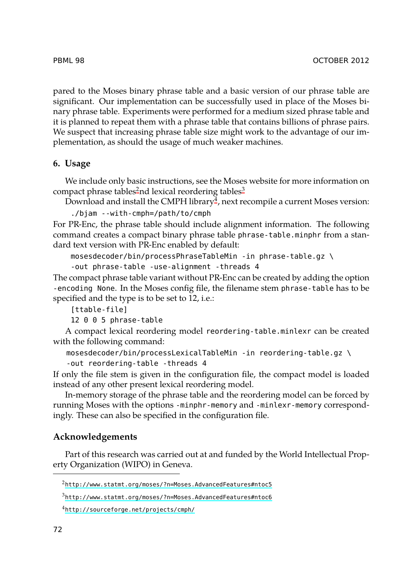pared to the Moses b[in](#page-9-0)ary phrase table and a ba[si](#page-9-1)c version of our phrase table are significant. Our implementation can be s[uc](#page-9-2)cessfully used in place of the Moses binary phrase table. Experiments were performed for a medium sized phrase table and it is planned to repeat them with a phrase table that contains billions of phrase pairs. We suspect that increasing phrase table size might work to the advantage of our implementation, as should the usage of much weaker machines.

### **6. Usage**

We include only basic instructions, see the Moses website for more information on compact phrase tables<sup>2</sup>nd lexical reordering tables<sup>3</sup>

Download and install the CMPH library $^4$ , next recompile a current Moses version: ./bjam --with-cmph=/path/to/cmph

For PR-Enc, the phrase table should include alignment information. The following command creates a compact binary phrase table phrase-table.minphr from a standard text version with PR-Enc enabled by default:

```
mosesdecoder/bin/processPhraseTableMin -in phrase-table.gz \
-out phrase-table -use-alignment -threads 4
```
The compact phrase table variant without PR-Enc can be created by adding the option -encoding None. In the Moses config file, the filename stem phrase-table has to be specified and the type is to be set to 12, i.e.:

[ttable-file]

12 0 0 5 phrase-table

A compact lexical reordering model reordering-table.minlexr can be created with the following command:

mosesdecoder/bin/processLexicalTableMin -in reordering-table.gz \ -out reordering-table -threads 4

If only the file stem is given in the configuration file, the compact model is loaded ins[tead of any other present lexical reordering model.](http://www.statmt.org/moses/?n=Moses.AdvancedFeatures#ntoc5)

<span id="page-9-2"></span><span id="page-9-1"></span><span id="page-9-0"></span>In-memory storage of the phrase table and the reordering model can be forced by ru[nning Moses with the options](http://www.statmt.org/moses/?n=Moses.AdvancedFeatures#ntoc6) -minphr-memory and -minlexr-memory correspondin[gly. These can also be specified in th](http://sourceforge.net/projects/cmph/)e configuration file.

### **Acknowledgements**

Part of this research was carried out at and funded by the World Intellectual Property Organization (WIPO) in Geneva.

<sup>2</sup>http://www.statmt.org/moses/?n=Moses.AdvancedFeatures#ntoc5

<sup>3</sup>http://www.statmt.org/moses/?n=Moses.AdvancedFeatures#ntoc6

<sup>4</sup>http://sourceforge.net/projects/cmph/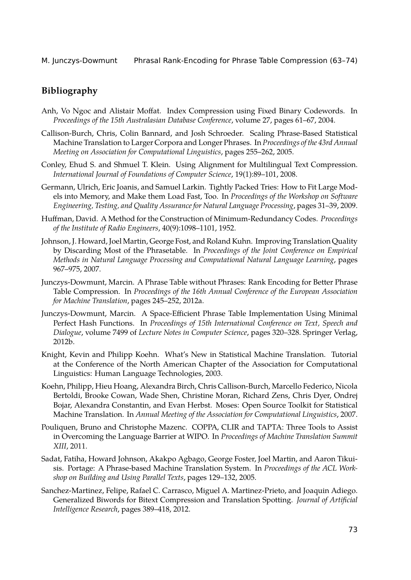# **Bibliography**

- <span id="page-10-7"></span>Anh, Vo Ngoc and Alistair Moffat. Index Compression using Fixed Binary Codewords. In *Proceedings of the 15th Australasian Database Conference*, volume 27, pages 61–67, 2004.
- <span id="page-10-2"></span>Callison-Burch, Chris, Colin Bannard, and Josh Schroeder. Scaling Phrase-Based Statistical Machine Translation to Larger Corpora and Longer Phrases. In *Proceedings of the 43rd Annual Meeting on Association for Computational Linguistics*, pages 255–262, 2005.
- <span id="page-10-4"></span>Conley, Ehud S. and Shmuel T. Klein. Using Alignment for Multilingual Text Compression. *International Journal of Foundations of Computer Science*, 19(1):89–101, 2008.
- <span id="page-10-1"></span>Germann, Ulrich, Eric Joanis, and Samuel Larkin. Tightly Packed Tries: How to Fit Large Models into Memory, and Make them Load Fast, Too. In *Proceedings of the Workshop on Software Engineering, Testing, and Quality Assurance for Natural Language Processing*, pages 31–39, 2009.
- <span id="page-10-8"></span>Huffman, David. A Method for the Construction of Minimum-Redundancy Codes. *Proceedings of the Institute of Radio Engineers*, 40(9):1098–1101, 1952.
- <span id="page-10-3"></span>Johnson, J. Howard, Joel Martin, George Fost, and Roland Kuhn. Improving Translation Quality by Discarding Most of the Phrasetable. In *Proceedings of the Joint Conference on Empirical Methods in Natural Language Processing and Computational Natural Language Learning*, pages 967–975, 2007.
- <span id="page-10-6"></span>Junczys-Dowmunt, Marcin. A Phrase Table without Phrases: Rank Encoding for Better Phrase Table Compression. In *Proceedings of the 16th Annual Conference of the European Association for Machine Translation*, pages 245–252, 2012a.
- <span id="page-10-9"></span>Junczys-Dowmunt, Marcin. A Space-Efficient Phrase Table Implementation Using Minimal Perfect Hash Functions. In *Proceedings of 15th International Conference on Text, Speech and Dialogue*, volume 7499 of *Lecture Notes in Computer Science*, pages 320–328. Springer Verlag, 2012b.
- Knight, Kevin and Philipp Koehn. What's New in Statistical Machine Translation. Tutorial at the Conference of the North American Chapter of the Association for Computational Linguistics: Human Language Technologies, 2003.
- <span id="page-10-0"></span>Koehn, Philipp, Hieu Hoang, Alexandra Birch, Chris Callison-Burch, Marcello Federico, Nicola Bertoldi, Brooke Cowan, Wade Shen, Christine Moran, Richard Zens, Chris Dyer, Ondrej Bojar, Alexandra Constantin, and Evan Herbst. Moses: Open Source Toolkit for Statistical Machine Translation. In *Annual Meeting of the Association for Computational Linguistics*, 2007.
- <span id="page-10-10"></span>Pouliquen, Bruno and Christophe Mazenc. COPPA, CLIR and TAPTA: Three Tools to Assist in Overcoming the Language Barrier at WIPO. In *Proceedings of Machine Translation Summit XIII*, 2011.
- Sadat, Fatiha, Howard Johnson, Akakpo Agbago, George Foster, Joel Martin, and Aaron Tikuisis. Portage: A Phrase-based Machine Translation System. In *Proceedings of the ACL Workshop on Building and Using Parallel Texts*, pages 129–132, 2005.
- <span id="page-10-5"></span>Sanchez-Martinez, Felipe, Rafael C. Carrasco, Miguel A. Martinez-Prieto, and Joaquin Adiego. Generalized Biwords for Bitext Compression and Translation Spotting. *Journal of Artificial Intelligence Research*, pages 389–418, 2012.